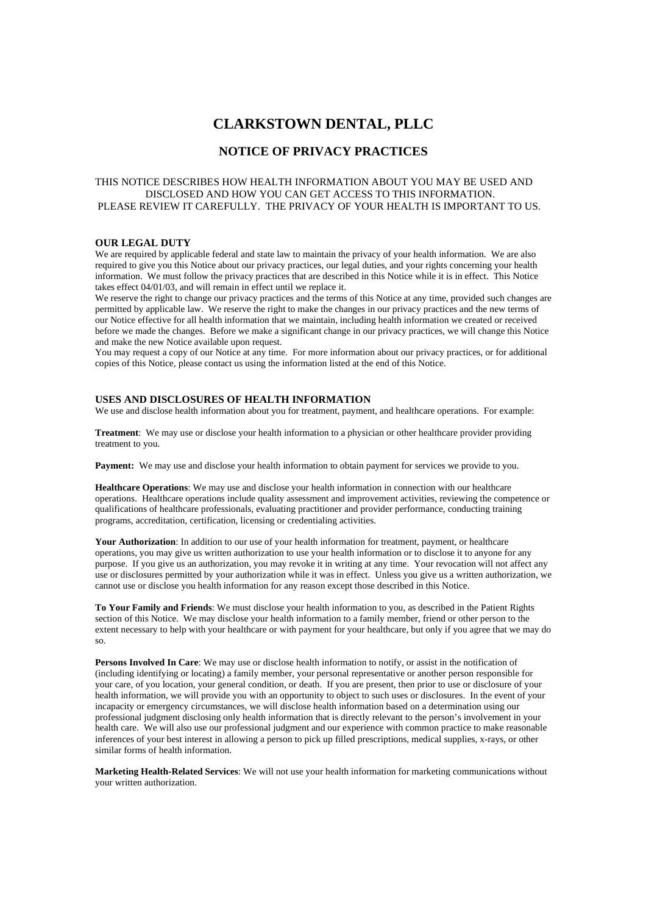# **CLARKSTOWN DENTAL, PLLC**

## **NOTICE OF PRIVACY PRACTICES**

#### THIS NOTICE DESCRIBES HOW HEALTH INFORMATION ABOUT YOU MAY BE USED AND DISCLOSED AND HOW YOU CAN GET ACCESS TO THIS INFORMATION. PLEASE REVIEW IT CAREFULLY. THE PRIVACY OF YOUR HEALTH IS IMPORTANT TO US.

#### **OUR LEGAL DUTY**

We are required by applicable federal and state law to maintain the privacy of your health information. We are also required to give you this Notice about our privacy practices, our legal duties, and your rights concerning your health information. We must follow the privacy practices that are described in this Notice while it is in effect. This Notice takes effect 04/01/03, and will remain in effect until we replace it.

We reserve the right to change our privacy practices and the terms of this Notice at any time, provided such changes are permitted by applicable law. We reserve the right to make the changes in our privacy practices and the new terms of our Notice effective for all health information that we maintain, including health information we created or received before we made the changes. Before we make a significant change in our privacy practices, we will change this Notice and make the new Notice available upon request.

You may request a copy of our Notice at any time. For more information about our privacy practices, or for additional copies of this Notice, please contact us using the information listed at the end of this Notice.

#### **USES AND DISCLOSURES OF HEALTH INFORMATION**

We use and disclose health information about you for treatment, payment, and healthcare operations. For example:

**Treatment**: We may use or disclose your health information to a physician or other healthcare provider providing treatment to you.

**Payment:** We may use and disclose your health information to obtain payment for services we provide to you.

**Healthcare Operations**: We may use and disclose your health information in connection with our healthcare operations. Healthcare operations include quality assessment and improvement activities, reviewing the competence or qualifications of healthcare professionals, evaluating practitioner and provider performance, conducting training programs, accreditation, certification, licensing or credentialing activities.

Your Authorization: In addition to our use of your health information for treatment, payment, or healthcare operations, you may give us written authorization to use your health information or to disclose it to anyone for any purpose. If you give us an authorization, you may revoke it in writing at any time. Your revocation will not affect any use or disclosures permitted by your authorization while it was in effect. Unless you give us a written authorization, we cannot use or disclose you health information for any reason except those described in this Notice.

**To Your Family and Friends**: We must disclose your health information to you, as described in the Patient Rights section of this Notice. We may disclose your health information to a family member, friend or other person to the extent necessary to help with your healthcare or with payment for your healthcare, but only if you agree that we may do so.

**Persons Involved In Care**: We may use or disclose health information to notify, or assist in the notification of (including identifying or locating) a family member, your personal representative or another person responsible for your care, of you location, your general condition, or death. If you are present, then prior to use or disclosure of your health information, we will provide you with an opportunity to object to such uses or disclosures. In the event of your incapacity or emergency circumstances, we will disclose health information based on a determination using our professional judgment disclosing only health information that is directly relevant to the person's involvement in your health care. We will also use our professional judgment and our experience with common practice to make reasonable inferences of your best interest in allowing a person to pick up filled prescriptions, medical supplies, x-rays, or other similar forms of health information.

**Marketing Health-Related Services**: We will not use your health information for marketing communications without your written authorization.